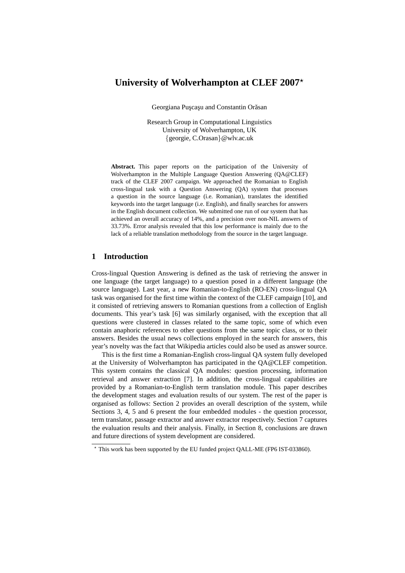# **University of Wolverhampton at CLEF 2007**?

Georgiana Puscașu and Constantin Orăsan

Research Group in Computational Linguistics University of Wolverhampton, UK {georgie, C.Orasan}@wlv.ac.uk

**Abstract.** This paper reports on the participation of the University of Wolverhampton in the Multiple Language Question Answering (QA@CLEF) track of the CLEF 2007 campaign. We approached the Romanian to English cross-lingual task with a Question Answering (QA) system that processes a question in the source language (i.e. Romanian), translates the identified keywords into the target language (i.e. English), and finally searches for answers in the English document collection. We submitted one run of our system that has achieved an overall accuracy of 14%, and a precision over non-NIL answers of 33.73%. Error analysis revealed that this low performance is mainly due to the lack of a reliable translation methodology from the source in the target language.

### **1 Introduction**

Cross-lingual Question Answering is defined as the task of retrieving the answer in one language (the target language) to a question posed in a different language (the source language). Last year, a new Romanian-to-English (RO-EN) cross-lingual QA task was organised for the first time within the context of the CLEF campaign [10], and it consisted of retrieving answers to Romanian questions from a collection of English documents. This year's task [6] was similarly organised, with the exception that all questions were clustered in classes related to the same topic, some of which even contain anaphoric references to other questions from the same topic class, or to their answers. Besides the usual news collections employed in the search for answers, this year's novelty was the fact that Wikipedia articles could also be used as answer source.

This is the first time a Romanian-English cross-lingual QA system fully developed at the University of Wolverhampton has participated in the QA@CLEF competition. This system contains the classical QA modules: question processing, information retrieval and answer extraction [7]. In addition, the cross-lingual capabilities are provided by a Romanian-to-English term translation module. This paper describes the development stages and evaluation results of our system. The rest of the paper is organised as follows: Section 2 provides an overall description of the system, while Sections 3, 4, 5 and 6 present the four embedded modules - the question processor, term translator, passage extractor and answer extractor respectively. Section 7 captures the evaluation results and their analysis. Finally, in Section 8, conclusions are drawn and future directions of system development are considered.

<sup>?</sup> This work has been supported by the EU funded project QALL-ME (FP6 IST-033860).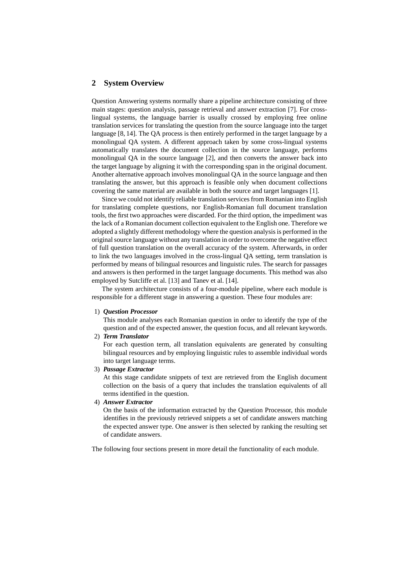#### **2 System Overview**

Question Answering systems normally share a pipeline architecture consisting of three main stages: question analysis, passage retrieval and answer extraction [7]. For crosslingual systems, the language barrier is usually crossed by employing free online translation services for translating the question from the source language into the target language [8, 14]. The QA process is then entirely performed in the target language by a monolingual QA system. A different approach taken by some cross-lingual systems automatically translates the document collection in the source language, performs monolingual QA in the source language [2], and then converts the answer back into the target language by aligning it with the corresponding span in the original document. Another alternative approach involves monolingual QA in the source language and then translating the answer, but this approach is feasible only when document collections covering the same material are available in both the source and target languages [1].

Since we could not identify reliable translation services from Romanian into English for translating complete questions, nor English-Romanian full document translation tools, the first two approaches were discarded. For the third option, the impediment was the lack of a Romanian document collection equivalent to the English one. Therefore we adopted a slightly different methodology where the question analysis is performed in the original source language without any translation in order to overcome the negative effect of full question translation on the overall accuracy of the system. Afterwards, in order to link the two languages involved in the cross-lingual QA setting, term translation is performed by means of bilingual resources and linguistic rules. The search for passages and answers is then performed in the target language documents. This method was also employed by Sutcliffe et al. [13] and Tanev et al. [14].

The system architecture consists of a four-module pipeline, where each module is responsible for a different stage in answering a question. These four modules are:

#### 1) *Question Processor*

This module analyses each Romanian question in order to identify the type of the question and of the expected answer, the question focus, and all relevant keywords.

2) *Term Translator*

For each question term, all translation equivalents are generated by consulting bilingual resources and by employing linguistic rules to assemble individual words into target language terms.

3) *Passage Extractor*

At this stage candidate snippets of text are retrieved from the English document collection on the basis of a query that includes the translation equivalents of all terms identified in the question.

#### 4) *Answer Extractor*

On the basis of the information extracted by the Question Processor, this module identifies in the previously retrieved snippets a set of candidate answers matching the expected answer type. One answer is then selected by ranking the resulting set of candidate answers.

The following four sections present in more detail the functionality of each module.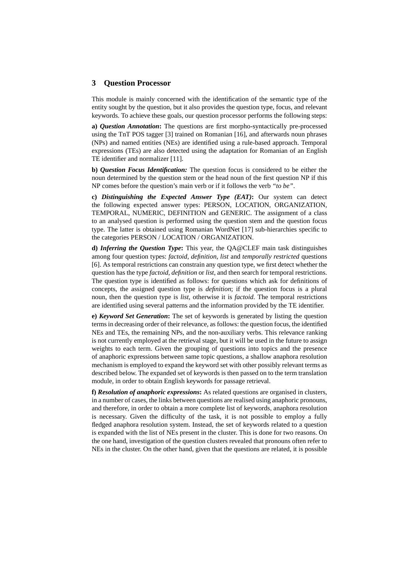#### **3 Question Processor**

This module is mainly concerned with the identification of the semantic type of the entity sought by the question, but it also provides the question type, focus, and relevant keywords. To achieve these goals, our question processor performs the following steps:

**a)** *Question Annotation***:** The questions are first morpho-syntactically pre-processed using the TnT POS tagger [3] trained on Romanian [16], and afterwards noun phrases (NPs) and named entities (NEs) are identified using a rule-based approach. Temporal expressions (TEs) are also detected using the adaptation for Romanian of an English TE identifier and normalizer [11].

**b)** *Question Focus Identification:* The question focus is considered to be either the noun determined by the question stem or the head noun of the first question NP if this NP comes before the question's main verb or if it follows the verb *"to be"*.

**c)** *Distinguishing the Expected Answer Type (EAT)***:** Our system can detect the following expected answer types: PERSON, LOCATION, ORGANIZATION, TEMPORAL, NUMERIC, DEFINITION and GENERIC. The assignment of a class to an analysed question is performed using the question stem and the question focus type. The latter is obtained using Romanian WordNet [17] sub-hierarchies specific to the categories PERSON / LOCATION / ORGANIZATION.

**d)** *Inferring the Question Type***:** This year, the QA@CLEF main task distinguishes among four question types: *factoid*, *definition*, *list* and *temporally restricted* questions [6]. As temporal restrictions can constrain any question type, we first detect whether the question has the type *factoid*, *definition* or *list*, and then search for temporal restrictions. The question type is identified as follows: for questions which ask for definitions of concepts, the assigned question type is *definition*; if the question focus is a plural noun, then the question type is *list*, otherwise it is *factoid*. The temporal restrictions are identified using several patterns and the information provided by the TE identifier.

**e)** *Keyword Set Generation***:** The set of keywords is generated by listing the question terms in decreasing order of their relevance, as follows: the question focus, the identified NEs and TEs, the remaining NPs, and the non-auxiliary verbs. This relevance ranking is not currently employed at the retrieval stage, but it will be used in the future to assign weights to each term. Given the grouping of questions into topics and the presence of anaphoric expressions between same topic questions, a shallow anaphora resolution mechanism is employed to expand the keyword set with other possibly relevant terms as described below. The expanded set of keywords is then passed on to the term translation module, in order to obtain English keywords for passage retrieval.

**f)** *Resolution of anaphoric expressions***:** As related questions are organised in clusters, in a number of cases, the links between questions are realised using anaphoric pronouns, and therefore, in order to obtain a more complete list of keywords, anaphora resolution is necessary. Given the difficulty of the task, it is not possible to employ a fully fledged anaphora resolution system. Instead, the set of keywords related to a question is expanded with the list of NEs present in the cluster. This is done for two reasons. On the one hand, investigation of the question clusters revealed that pronouns often refer to NEs in the cluster. On the other hand, given that the questions are related, it is possible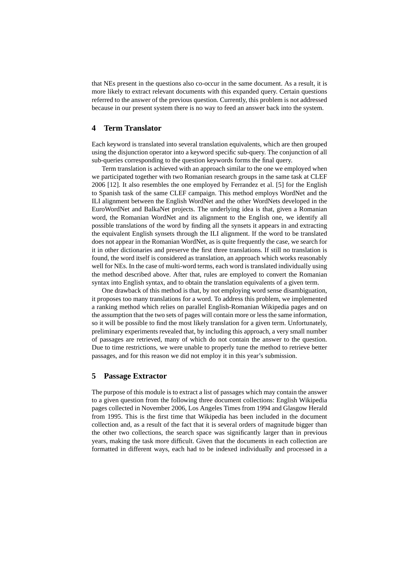that NEs present in the questions also co-occur in the same document. As a result, it is more likely to extract relevant documents with this expanded query. Certain questions referred to the answer of the previous question. Currently, this problem is not addressed because in our present system there is no way to feed an answer back into the system.

#### **4 Term Translator**

Each keyword is translated into several translation equivalents, which are then grouped using the disjunction operator into a keyword specific sub-query. The conjunction of all sub-queries corresponding to the question keywords forms the final query.

Term translation is achieved with an approach similar to the one we employed when we participated together with two Romanian research groups in the same task at CLEF 2006 [12]. It also resembles the one employed by Ferrandez et al. [5] for the English to Spanish task of the same CLEF campaign. This method employs WordNet and the ILI alignment between the English WordNet and the other WordNets developed in the EuroWordNet and BalkaNet projects. The underlying idea is that, given a Romanian word, the Romanian WordNet and its alignment to the English one, we identify all possible translations of the word by finding all the synsets it appears in and extracting the equivalent English synsets through the ILI alignment. If the word to be translated does not appear in the Romanian WordNet, as is quite frequently the case, we search for it in other dictionaries and preserve the first three translations. If still no translation is found, the word itself is considered as translation, an approach which works reasonably well for NEs. In the case of multi-word terms, each word is translated individually using the method described above. After that, rules are employed to convert the Romanian syntax into English syntax, and to obtain the translation equivalents of a given term.

One drawback of this method is that, by not employing word sense disambiguation, it proposes too many translations for a word. To address this problem, we implemented a ranking method which relies on parallel English-Romanian Wikipedia pages and on the assumption that the two sets of pages will contain more or less the same information, so it will be possible to find the most likely translation for a given term. Unfortunately, preliminary experiments revealed that, by including this approach, a very small number of passages are retrieved, many of which do not contain the answer to the question. Due to time restrictions, we were unable to properly tune the method to retrieve better passages, and for this reason we did not employ it in this year's submission.

### **5 Passage Extractor**

The purpose of this module is to extract a list of passages which may contain the answer to a given question from the following three document collections: English Wikipedia pages collected in November 2006, Los Angeles Times from 1994 and Glasgow Herald from 1995. This is the first time that Wikipedia has been included in the document collection and, as a result of the fact that it is several orders of magnitude bigger than the other two collections, the search space was significantly larger than in previous years, making the task more difficult. Given that the documents in each collection are formatted in different ways, each had to be indexed individually and processed in a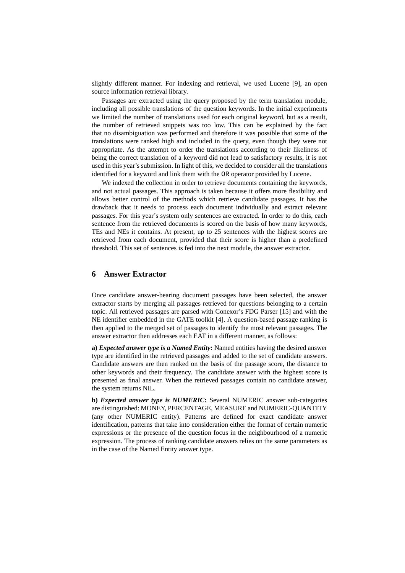slightly different manner. For indexing and retrieval, we used Lucene [9], an open source information retrieval library.

Passages are extracted using the query proposed by the term translation module, including all possible translations of the question keywords. In the initial experiments we limited the number of translations used for each original keyword, but as a result, the number of retrieved snippets was too low. This can be explained by the fact that no disambiguation was performed and therefore it was possible that some of the translations were ranked high and included in the query, even though they were not appropriate. As the attempt to order the translations according to their likeliness of being the correct translation of a keyword did not lead to satisfactory results, it is not used in this year's submission. In light of this, we decided to consider all the translations identified for a keyword and link them with the OR operator provided by Lucene.

We indexed the collection in order to retrieve documents containing the keywords, and not actual passages. This approach is taken because it offers more flexibility and allows better control of the methods which retrieve candidate passages. It has the drawback that it needs to process each document individually and extract relevant passages. For this year's system only sentences are extracted. In order to do this, each sentence from the retrieved documents is scored on the basis of how many keywords, TEs and NEs it contains. At present, up to 25 sentences with the highest scores are retrieved from each document, provided that their score is higher than a predefined threshold. This set of sentences is fed into the next module, the answer extractor.

## **6 Answer Extractor**

Once candidate answer-bearing document passages have been selected, the answer extractor starts by merging all passages retrieved for questions belonging to a certain topic. All retrieved passages are parsed with Conexor's FDG Parser [15] and with the NE identifier embedded in the GATE toolkit [4]. A question-based passage ranking is then applied to the merged set of passages to identify the most relevant passages. The answer extractor then addresses each EAT in a different manner, as follows:

**a)** *Expected answer type is a Named Entity***:** Named entities having the desired answer type are identified in the retrieved passages and added to the set of candidate answers. Candidate answers are then ranked on the basis of the passage score, the distance to other keywords and their frequency. The candidate answer with the highest score is presented as final answer. When the retrieved passages contain no candidate answer, the system returns NIL.

**b)** *Expected answer type is NUMERIC***:** Several NUMERIC answer sub-categories are distinguished: MONEY, PERCENTAGE, MEASURE and NUMERIC-QUANTITY (any other NUMERIC entity). Patterns are defined for exact candidate answer identification, patterns that take into consideration either the format of certain numeric expressions or the presence of the question focus in the neighbourhood of a numeric expression. The process of ranking candidate answers relies on the same parameters as in the case of the Named Entity answer type.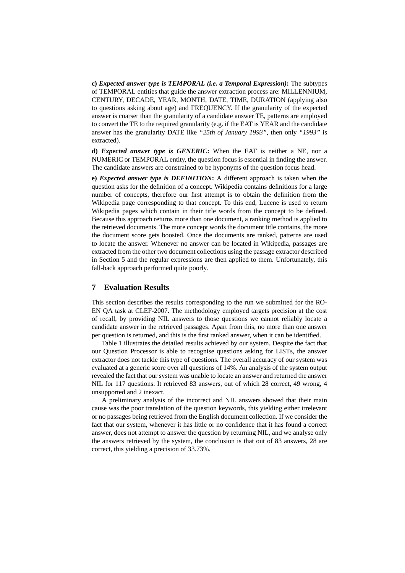**c)** *Expected answer type is TEMPORAL (i.e. a Temporal Expression)***:** The subtypes of TEMPORAL entities that guide the answer extraction process are: MILLENNIUM, CENTURY, DECADE, YEAR, MONTH, DATE, TIME, DURATION (applying also to questions asking about age) and FREQUENCY. If the granularity of the expected answer is coarser than the granularity of a candidate answer TE, patterns are employed to convert the TE to the required granularity (e.g. if the EAT is YEAR and the candidate answer has the granularity DATE like *"25th of January 1993"*, then only *"1993"* is extracted).

**d)** *Expected answer type is GENERIC***:** When the EAT is neither a NE, nor a NUMERIC or TEMPORAL entity, the question focus is essential in finding the answer. The candidate answers are constrained to be hyponyms of the question focus head.

**e)** *Expected answer type is DEFINITION***:** A different approach is taken when the question asks for the definition of a concept. Wikipedia contains definitions for a large number of concepts, therefore our first attempt is to obtain the definition from the Wikipedia page corresponding to that concept. To this end, Lucene is used to return Wikipedia pages which contain in their title words from the concept to be defined. Because this approach returns more than one document, a ranking method is applied to the retrieved documents. The more concept words the document title contains, the more the document score gets boosted. Once the documents are ranked, patterns are used to locate the answer. Whenever no answer can be located in Wikipedia, passages are extracted from the other two document collections using the passage extractor described in Section 5 and the regular expressions are then applied to them. Unfortunately, this fall-back approach performed quite poorly.

### **7 Evaluation Results**

This section describes the results corresponding to the run we submitted for the RO-EN QA task at CLEF-2007. The methodology employed targets precision at the cost of recall, by providing NIL answers to those questions we cannot reliably locate a candidate answer in the retrieved passages. Apart from this, no more than one answer per question is returned, and this is the first ranked answer, when it can be identified.

Table 1 illustrates the detailed results achieved by our system. Despite the fact that our Question Processor is able to recognise questions asking for LISTs, the answer extractor does not tackle this type of questions. The overall accuracy of our system was evaluated at a generic score over all questions of 14%. An analysis of the system output revealed the fact that our system was unable to locate an answer and returned the answer NIL for 117 questions. It retrieved 83 answers, out of which 28 correct, 49 wrong, 4 unsupported and 2 inexact.

A preliminary analysis of the incorrect and NIL answers showed that their main cause was the poor translation of the question keywords, this yielding either irrelevant or no passages being retrieved from the English document collection. If we consider the fact that our system, whenever it has little or no confidence that it has found a correct answer, does not attempt to answer the question by returning NIL, and we analyse only the answers retrieved by the system, the conclusion is that out of 83 answers, 28 are correct, this yielding a precision of 33.73%.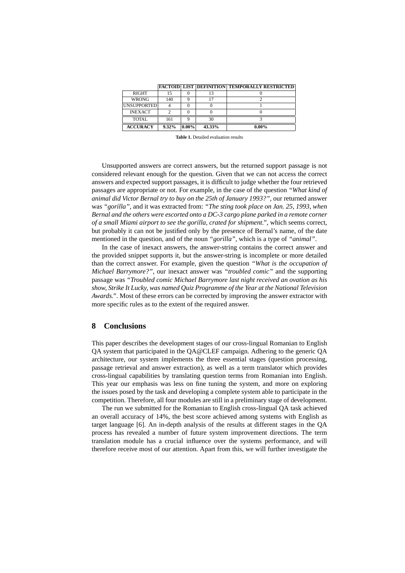|                 |          |          |        | <b>FACTOID LIST DEFINITION TEMPORALLY RESTRICTED</b> |
|-----------------|----------|----------|--------|------------------------------------------------------|
| <b>RIGHT</b>    | 15       |          | 13     |                                                      |
| <b>WRONG</b>    | 140      |          |        |                                                      |
| UNSUPPORTED     |          |          |        |                                                      |
| <b>INEXACT</b>  |          |          |        |                                                      |
| <b>TOTAL</b>    | 161      |          | 30     |                                                      |
| <b>ACCURACY</b> | $9.32\%$ | $0.00\%$ | 43.33% | $0.00\%$                                             |

**Table 1.** Detailed evaluation results

Unsupported answers are correct answers, but the returned support passage is not considered relevant enough for the question. Given that we can not access the correct answers and expected support passages, it is difficult to judge whether the four retrieved passages are appropriate or not. For example, in the case of the question *"What kind of animal did Victor Bernal try to buy on the 25th of January 1993?"*, our returned answer was *"gorilla"*, and it was extracted from: *"The sting took place on Jan. 25, 1993, when Bernal and the others were escorted onto a DC-3 cargo plane parked in a remote corner of a small Miami airport to see the gorilla, crated for shipment."*, which seems correct, but probably it can not be justified only by the presence of Bernal's name, of the date mentioned in the question, and of the noun *"gorilla"*, which is a type of *"animal"*.

In the case of inexact answers, the answer-string contains the correct answer and the provided snippet supports it, but the answer-string is incomplete or more detailed than the correct answer. For example, given the question *"What is the occupation of Michael Barrymore?"*, our inexact answer was *"troubled comic"* and the supporting passage was *"Troubled comic Michael Barrymore last night received an ovation as his show, Strike It Lucky, was named Quiz Programme of the Year at the National Television Awards."*. Most of these errors can be corrected by improving the answer extractor with more specific rules as to the extent of the required answer.

#### **8 Conclusions**

This paper describes the development stages of our cross-lingual Romanian to English QA system that participated in the QA@CLEF campaign. Adhering to the generic QA architecture, our system implements the three essential stages (question processing, passage retrieval and answer extraction), as well as a term translator which provides cross-lingual capabilities by translating question terms from Romanian into English. This year our emphasis was less on fine tuning the system, and more on exploring the issues posed by the task and developing a complete system able to participate in the competition. Therefore, all four modules are still in a preliminary stage of development.

The run we submitted for the Romanian to English cross-lingual QA task achieved an overall accuracy of 14%, the best score achieved among systems with English as target language [6]. An in-depth analysis of the results at different stages in the QA process has revealed a number of future system improvement directions. The term translation module has a crucial influence over the systems performance, and will therefore receive most of our attention. Apart from this, we will further investigate the